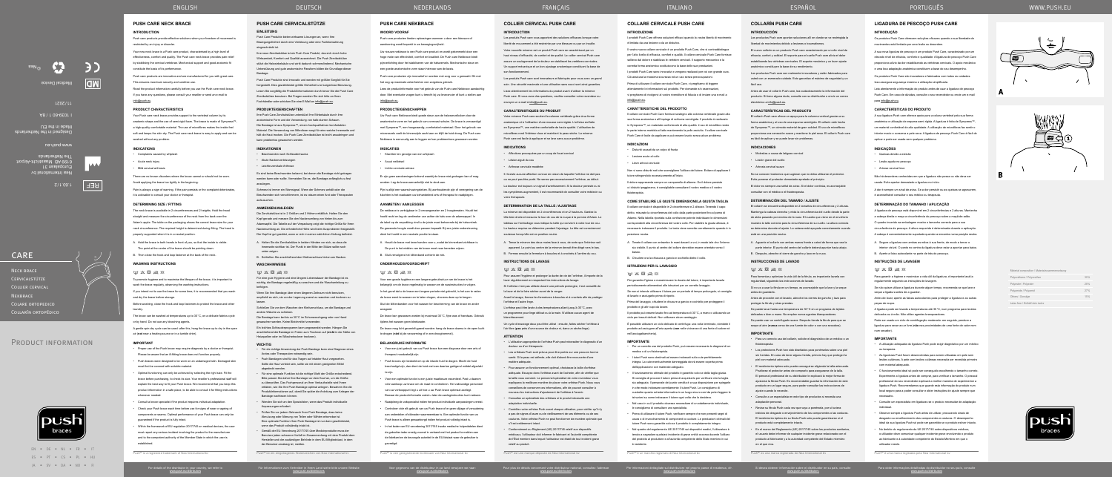# ENGLISH DEUTSCH



Für Informationen zum Vertreiber in Ihrem Land siehe bitte unsere Website www.push.eu/distributors



Pour plus de détails concernant votre distributeur national, consultez l'adresse www.push.eu/distributors

Per informazioni dettagliate sul distributore nel proprio paese di residenza, cfr. www.push.eu/distributors

Si desea obtener información sobre el distribuidor en su país, consulte www.push.eu/distributors

Les produits Push care sont innovateurs et fabriqués pour vous avec un grand soin. Une sécurité maximale et une utilisation sans souci sont ainsi garanties.

> Para obter informações detalhadas do distribuidor no seu país, consulte www.push.eu/distributors

### **COLLIER CERVICAL PUSH CARE**

### **INTRODUCTION**

Les produits Push care vous apportent des solutions efficaces lorsque votre liberté de mouvement a été restreinte par une blessure ou par un trouble.

Votre nouvelle minerve est un produit Push care se caractérisant par un haut niveau d'efficacité, de confort et de qualité. Le collier cervical Push care assure un soulagement de la douleur en stabilisant les vertèbres cervicales. Un support mécanique et un bon ajustage anatomique constituent la base de son fonctionnement.

Lisez attentivement les informations du produit avant d'utiliser la minerve Push care. Si vous avez des questions, veuillez consulter votre revendeur ou envoyer un e-mail à info@push.eu.

### **INSTRUCTIONS DE LAVAGE**  $W \times \boxtimes \geq \otimes$

### **CARACTERISTIQUES DU PRODUIT**

Votre minerve Push care soutient la colonne vertébrale grâce à sa forme anatomique et à l'utilisation d'une mousse semi-rigide. L'orthèse est faite en Sympress™, une matière confortable de haute qualité. L'utilisation de microfibres rend l'intérieur doux et maintient la peau sèche. La minerve Push care est facile à appliquer et se lave sans aucun problème.

#### **INDICATIONS**

Les orthèses Push sont prévus pour être portés sur une peau en bonne santé. Si la peau est abîmée, elle doit d'abord être recouverte d'une

• Affections provoquées par un coup de fouet cervical

matière adéquat • Pour assurer un fonctionnement optimal, choisissez la taille d'orthèse

• Lésion aiguë du cou

#### • Arthrose cervicale modérée

Il n'existe aucune affection connue en raison de laquelle l'orthèse ne doit pas

ou ne peut pas être porté. Ne serrez pas excessivement l'orthèse, au début.

La douleur est toujours un signal d'avertissement. Si la douleur persiste ou si les symptômes augmentent, il est recommandé de consulter votre médecin ou votre thérapeute.

#### **DETERMINATION DE LA TAILLE / AJUSTAGE**

La minerve est disponible en 2 circonférences et en 2 hauteurs. Gardez la tête bien droite et mesurez le tour de cou de la nuque à la pomme d'Adam. Le tableau sur l'emballage vous indique la taille qui convient à votre tour de cou. La hauteur requise se détermine pendant l'ajustage. La tête est correctement soutenue lorsqu'elle est en position neutre.

 $M$   $X$   $\overline{R}$   $\rightarrow$   $\alpha$ Für eine gute Hygiene und eine längere Lebensdauer der Bandage ist es wichtig, die Bandage regelmäßig zu waschen und die Waschanleitung zu befolgen.

A. Tenez la minerve des deux mains face à vous, de sorte que l'intérieur soit apparent. Le point au centre de la minerve devrait être dirigé vers le bas.

B. Fermez ensuite la fermeture à boucles et à crochets à l'arrière du cou.

Pour assurer l'hygiène et prolonger la durée de vie de l'orthèse, il importe de la

laver régulièrement en respectant les instructions de lavage. Si l'orthèse n'est pas utilisée durant une période prolongée, il est conseillé de

la laver et de la faire sécher avant de la ranger.

Avant le lavage, fermez les fermetures à boucles et à crochets afin de protéger l'orthèse et l'autre linge.

L'orthèse peut être lavée à des températures allant jusqu'à 30°C, avec un programme pour linge délicat ou à la main. N'utilisez aucun agent de blanchissement.

Un cycle d'essorage doux peut être utilisé : ensuite, faites sécher l'orthèse à l'air libre (**pas** près d'une source de chaleur ni, dans un sèche-linge).

### **ATTENTION**

• L'utilisation appropriée de l'orthèse Push peut nécessiter le diagnostic d'un docteur ou d'un thérapeute.

adéquate. Essayez donc l'orthèse avant de l'acheter, afin de vérifier que la taille vous convient. Le personnel spécialisé de votre revendeur vous expliquera la meilleure manière de placer votre orthèse Push. Nous vous conseillons de conserver ces informations, afin de pouvoir consulter à nouveau les instructions d'ajustement de l'orthèse à l'avenir.

• Consultez un spécialiste des orthèses si le produit nécessite une adaptation individuelle.

• Contrôlez votre orthèse Push avant chaque utilisation, pour vérifier qu'il n'y a pas de signes d'usure ou de vieillissement de ses éléments ou de ses coutures. Votre orthèse Push ne peut fonctionner de manière optimale que s'il est entièrement intact.

Los productos Push care aportan soluciones allí en donde se ve restringida la libertad de movimientos debido a lesiones o traumatismos.

• Conformément au Règlement (UE) 2017/745 relatif aux dispositifs médicaux, l'utilisateur doit informer le fabricant et l'autorité compétente de l'État membre dans lequel l'utilisateur est établi de tout incident grave relatif au produit.

Push® est une marque déposée de Nea International bv

- A. Halten Sie die Zervikalstütze in beiden Händen vor sich, so dass die Innenseite sichtbar ist. Der Punkt in der Mitte der Stütze sollte nach unten zeigen.
- B. Schließen Sie anschließend den Klettverschluss hinten am Nacken. **WASCHHINWEISE**

El collarín se encuentra disponible en 2 tamaños de circunferencia y 2 alturas. Mantenga la cabeza derecha y mida la circunferencia del cuello desde la parte de atrás pasando por encima de la nuez. El cuadro que viene en el envoltorio muestra la talla correcta para la circunferencia de su cuello. La altura correcta se determina durante el ajuste. La cabeza está apoyada correctamente cuando está en una posición neutra.

Wenn Sie Ihre Bandage über einen längeren Zeitraum nicht benutzen, empfiehlt es sich, sie vor der Lagerung zuerst zu waschen und trocknen zu

lassen. Schließen Sie vor dem Waschen den Klettverschluss, um die Bandage und andere Wäsche zu schützen.

Die Bandage kann bei bis zu 30°C im Schonwaschgang oder von Hand gewaschen werden. Keine Bleichmittel verwenden.

Se puede lavar hasta una temperatura de 30°C en un programa de tejidos delicados o bien a mano. No emplee nunca agentes blangu

Ein leichtes Schleuderprogramm kann angewendet werden. Hängen Sie anschließend die Bandage im Freien zum Trocknen auf (**nicht** in der Nähe von Heizquellen oder im Wäschetrockner trocknen).

### **WICHTIG**

- Für die richtige Anwendung der Push Bandage kann eine Diagnose eines Arztes oder Therapeuten notwendig sein.
- Push Bandagen sind für das Tragen auf intakter Haut vorgesehen. Sollte die Haut verletzt sein, sollte sie mit einem geeigneten Mittel abgedeckt werden. • Für eine optimale Funktion ist die richtige Wahl der Größe entscheidend.
- Bitte passen Sie daher Ihre Bandage vor dem Kauf an, um die Größe zu überprüfen. Das Fachpersonal an Ihrer Verkaufsstelle wird I erklären, wie Sie Ihre Push Bandage optimal anlegen. Bewahren Sie die Produktinformationen auf, damit Sie später die Anleitung zum Anlegen der Bandage nachlesen können.
- Wenden Sie sich an den Spezialisten, wenn das Produkt individuelle Anpassungen erfordert.
- Prüfen Sie vor jedem Gebrauch Ihrer Push Bandage, dass keine Abnutzung oder Alterung von Teilen oder Nähten erkennbar ist. Eine optimale Funktion Ihrer Push Bandage ist nur dann gewährleiste wenn das Produkt vollständig intakt ist.
- Gemäß der EU-Verordnung 2017/745 über Medizinprodukte muss der Benutzer jeden schweren Vorfall im Zusammenhang mit dem Produkt dem Hersteller und der zuständigen Behörde in dem EU-Mitgliedstaat, in dem der Benutzer ansässig ist, melden.

Neck brace **CERVICALSTÜTZE** Collier cervical **NEKBRACE** Colare ortopedico COLLARÍN ORTOPÉDICO

# PRODUCT INFORMATION



Push® ist ein eingetragenes Warenzeichen von Nea International bv

# **PUSH CARE CERVICALSTÜTZE**

washed without any probler **INDICATIONS**

Acute neck injury Mild cervical arthrosi

### **EINLEITUNG**

Push Care Produkte bieten wirksame Lösungen an, wenn Ihre Bewegungsfreiheit durch eine Verletzung oder eine Funktionsstörung eingeschränkt ist.

Ihre neue Zervikalstütze ist ein Push Care Produkt, das sich durch hohe Wirksamkeit, Komfort und Qualität auszeichnet. Die Push Zervikalstütze stützt die Halswirbelsäule und wirkt dadurch schmerzlindernd. Mechanische Unterstützung und gute anatomische Passform bilden die Grundlage dieser Bandage.

**WASHING INSTRUCTIONS**  $M$   $X$   $\overline{N}$   $\Rightarrow$   $\alpha$ 

Push Care Produkte sind innovativ und werden mit größter Sorgfalt für Sie hergestellt. Dies gewährleistet größte Sicherheit und sorgenlose Benutzung. Lesen Sie sorgfältig die Produktinformationen durch bevor Sie die Push Care Zervikalstütze benutzen. Bei Fragen wenden Sie sich bitte an Ihren Fachhändler oder schicken Sie eine E-Mail an info@push.eu.

### **PRODUKTEIGENSCHAFTEN**

Ihre Push Care Zervikalstütze unterstützt Ihre Wirbelsäule durch ihre anatomische Form und die Verwendung von halb-starren Schaum. Die Bandage ist aus Sympress™, einem hochqualitativen komfortabler Material. Die Verwendung von Mikrofaser sorgt für eine weiche Innenseite und hält die Haut trocken. Die Push Care Zervikalstütze ist leicht anzubringen und kann problemlos gewaschen werden.

### **INDIKATIONEN**

- Beschwerden nach Schleudertrauma
- Akute Nackenverletzungen
- Leichte zervikale Arthrose

Es sind keine Beschwerden bekannt, bei denen die Bandage nicht getragen werden kann oder sollte. Vermeiden Sie es, die Bandage anfänglich zu fest anzulegen.

Schmerz ist immer ein Warnsignal. Wenn der Schmerz anhält oder die Beschwerden sich verschlimmern, ist es ratsam einen Arzt oder Therapeuten aufzusuchen.

### **ANMESSEN/ANLEGEN**

Die Zervikalstütze ist in 2 Größen und 2 Höhen erhältlich. Halten Sie den Kopf gerade und messen Sie den Nackenumfang von hinten bis zum Adamsapfel. Die Tabelle auf der Verpackung zeigt die richtige Größe für Ihren Nackenumfang an. Die erforderliche Höhe wird beim Ausprobieren festgestellt. Der Kopf ist gut gestützt, wenn er sich in seiner natürlichen Haltung befindet.

Er zijn geen aandoeningen bekend waarbij de brace niet gedragen kan of mag worden. Leg de brace aanvankelijk niet te strak aan

# **COLLARÍN PUSH CARE**

### **INTRODUCCIÓN**

El nuevo collarín es un producto Push care caracterizado por un alto nivel de eficacia, confort y calidad. El soporte para el cuello Push care alivia el dolor estabilizando las vértebras cervicales. El soporte mecánico y un buen ajuste anatómico constituyen la base de su rendimiento.

 $M$   $X$   $\overline{R}$   $\rightarrow$   $\alpha$ Voor een goede hygiëne en een langere gebruiksduur van de brace is het belangrijk om de brace regelmatig te wassen en de wasinstructies te volgen. Los productos Push care son realmente innovadores y están fabricados para usted con un esmerado cuidado. Esto garantiza el máximo de seguridad y un fácil uso.

Antes de usar el collarín Push care, lea cuidadosamente la información del producto. Si tiene alguna duda, consulte con su distribuidor o envíe un correo electrónico a info@push.eu.

### **CARACTERÍSTICAS DEL PRODUCTO**

El collarín Push care ofrece un apoyo para la columna vertical gracias a su forma anatómica y al uso de una espuma semirígida. El collarín está hecho de Sympress™, un cómodo material de gran calidad. El uso de microfibras proporciona una sensación suave y mantiene la piel seca. El collarín Push care es fácil de aplicar y se puede lavar sin problemas.

### **INDICACIONES**

- Molestias a causa de latigazo cervical
- Lesión grave del cuello
- Artrosis cervical suave

No se conocen trastornos que sugieran que no deba utilizarse el protector. Evite ponerse el protector demasiado apretado al principio.

El dolor es siempre una señal de aviso. Si el dolor continúa, es aconsejable

I prodotti Push Care offrono soluzioni efficaci quando la vostra libertà di movimento è limitata da una lesione o da un disturbo. Il vostro nuovo collare cervicale è un prodotto Push Care, che si contraddistingue

consultar con el médico o el fisioterapeuta.

### **DETERMINACIÓN DEL TAMAÑO / AJUSTE**

I prodotti Push Care sono innovativi e vengono realizzati per voi con grande cura. Ciò assicura la massima sicurezza ed un uso senza preoccupazion

- A. Aguante el collarín con ambas manos frente a usted de forma que vea la parte interior. El punto del centro del collarín deberá apuntar hacia abajo.
- B. Después, abroche el cierre de gancho y lazo en la nuca.

### **INSTRUCCIONES DE LAVADO**

 $W \times \boxtimes \geqslant \otimes$ 

Para fomentar y optimizar la vida útil de la férula, es importante lavarla con regularidad, siguiendo las instrucciones de lavado.

Si no va a usar la férula en un tiempo, es aconsejable que la lave y la seque antes de guardarla. Antes de proceder con el lavado, abroche los cierres de gancho y lazo para

proteger la férula y otras prendas.

Se puede usar un centrifugado suave. Después tienda la férula para que se seque al aire (**nunca** cerca de una fuente de calor o con una secadora).

### **IMPORTANTE**

ciclo per tessuti delicati. Non utilizzare alcun candeggio È possibile utilizzare un ciclo delicato di centrifuga: una volta terminato, stendete il prodotto ad asciugare all'aria aperta (**non** nelle vicinanze di una fonte di calore né

nell'asciugabiancheria

- Para un correcto uso del collarín, solicite el diagnóstico de un médico o un fisioterapeuta.
- Los protectores Push han sido diseñados para ponérselos sobre una piel sin heridas. En caso de tener alguna herida, primero hay que proteger la piel con material adecuado. • El rendimiento óptimo solo puede conseguirse eligiendo la talla adecuada.

Pruébese el protector antes de comprarlo para asegurarse de la talla. El personal profesional de su distribuidor le explicará la mejor forma de ajustarse la férula Push. Es recomendable guardar la información de este producto en un lugar seguro, para poder consultar las instrucciones de

ajuste cuando lo necesite.

producto está completamente intacto

• Consulte a un especialista en este tipo de productos si necesita una

adaptación personal.

• Revise su férula Push cada vez que vaya a ponérsela, por si tuviera indicios de desgaste o envejecimiento de los componentes o las costuras. El rendimiento óptimo de su férula Push solo puede garantizarse si el

• En el marco del Reglamento (UE) 2017/745 sobre los productos sanitarios, el usuario debe informar de cualquier incidente grave relacionado con el producto al fabricante y a la autoridad competente del Estado miembro

en el que viva.

Push® es una marca registrada de Nea International bv

### **PUSH CARE NECK BRACE**

### **INTRODUCTION**

Push care products provide effective solutions when your freedom of movement is restricted by an injury or disorder.

Your new neck brace is a Push care product, characterised by a high level of effectiveness, comfort and quality. The Push care neck brace provides pain relief by stabilising the cervical vertebrae. Mechanical support and good anatomic fit

Push care products are innovative and are manufactured for you with great care.

constitute the basis of its performance.

**INSTRUÇÕES DE LAVAGEM**  $W \times \boxtimes \text{cl}$ 

seque a ligadura antes de a guarda

This ensures maximum security and carefree use.

Read the product information carefully before you use the Push care neck brace. If you have any questions, please consult your reseller or send an e-mail to

info@push.eu.

**PRODUCT CHARACTERISTICS**

Your Push care neck brace provides support to the vertebral column by its anatomic shape and the use of semi-rigid foam. The brace is made of Sympress™, a high-quality comfortable material. The use of microfibres makes the inside feel soft and keeps the skin dry. The Push care neck brace is easy to apply and can be

• Complaints caused by whiplash

There are no known disorders where the brace cannot or should not be worn.

Avoid applying the brace too tightly in the beginning.

Pain is always a sign of warning. If the pain persists or the complaint deteriorates,

it is advisable to consult your doctor or therapist. **DETERMINING SIZE / FITTING**

The neck brace is available in 2 circumferences and 2 heights. Hold the head straight and measure the circumference of the neck from the back over the Adam's apple. The table on the packaging shows the correct brace size for your neck circumference. The required height is determined during fitting. The head is

properly supported when it is in a neutral position.

wash the brace regularly, observing the washing instructions.

A. Hold the brace in both hands in front of you, so that the inside is visible. The point at the centre of the brace should be pointing down. B. Then close the hook and loop fastener at the back of the neck.

note hygiene and to maximise the lifespan of the brace, it is important to

If you intend not to use the brace for some time, it is recommended that you wash

and dry the brace before storage.

Before washing, close the hook and loop fasteners to protect the brace and other

laundry.

The brace can be washed at temperatures up to 30°C, on a delicate fabrics cycle

or by hand. Do not use any bleaching agents.

A gentle spin-dry cycle can be used: after this, hang the brace up to dry in the open

air (**not** near a heating source or in a tumble drier).

**IMPORTANT**

whenever needed

• Proper use of the Push brace may require diagnosis by a doctor or therapist. Please be aware that an ill-fitting brace does not function properly. • Push braces were designed to be worn on an undamaged skin. Damaged skin

must first be covered with suitable material.

• Optimal functioning can only be achieved by selecting the right size. Fit the brace before purchasing, to check its size. Your reseller's professional staff will explain the best way to fit your Push brace. We recommend that you keep this product information in a safe place, to be able to consult it for fitting instructions

- Consult a brace specialist if the product requires individual adaptation. • Check your Push brace each time before use for signs of wear or ageing of components or seams. Optimal performance of your Push brace can only be guaranteed if the product is fully intact.
	- Within the framework of EU regulation 2017/745 on medical devices, the user must report any serious incident involving the product to the manufacture and to the competent authority of the Member State in which the user is established.

Push® is a registered trademark of Nea International bv

For details of the distributor in your country, we refer to<br>www.push.eu/distributors

**PUSH CARE NEKBRACE**

### **WOORD VOORAF** Push care producten bieden oplossingen wanneer u door een blessure of

aandoening wordt beperkt in uw bewegingsvrijheid. Uw nieuwe nekbrace is een Push care product en wordt gekenmerkt door een hoge mate van effectiviteit, comfort en kwaliteit. De Push care Nekbrace biedt

pijnverlichting door het stabiliseren van de halswervels. Mechanische steun en een goede anatomische vorm staan hiervoor aan de basis Push care producten zijn innovatief en worden met zorg voor u gemaakt. Dit met

het oog op maximale zekerheid en een zorgeloos gebruik.

Lees de productinformatie voor het gebruik van de Push care Nekbrace aandachtig door. Met eventuele vragen kunt u terecht bij uw leverancier of kunt u stellen aan info@push.eu.

### **PRODUCTEIGENSCHAPPEN**

Uw Push care Nekbrace biedt goede steun aan de halswervelkolom door de anatomische vorm en het gebruik van vormvast schuim. De brace is vervaardigd met Sympress™, een hoogwaardig, comfortabel materiaal. Door het gebruik van microvezels voelt de binnenzijde zacht aan en blijft de huid droog. De Push care Nekbrace is eenvoudig aan te leggen en kan probleemloos gewassen worden.

### **INDICATIES**

- Klachten ten gevolge van een whiplash
- Acuut nekletsel
- Lichte cervicale artrose

Pijn is altijd een waarschuwingsteken. Bij aanhoudende pijn of verergering van de klachten is het raadzaam uw behandelend arts of therapeut te raadplegen.

### **AANMETEN / AANLEGGEN**

De nekbrace is verkrijgbaar in 2 omvangsmaten en 2 hoogtematen. Houdt het hoofd recht en leg de centimeter van achter de hals over de adamsappel. In de tabel op de verpakking vindt u de juiste maat behorende bij de halsomtrek. De gewenste hoogte wordt door passen bepaald. Bij een juiste ondersteuning dient het hoofd in een neutrale positie te staan.

- A. Houdt de brace met twee handen voor u, zodat de binnenkant zichtbaar is. De punt in het midden van de brace moet naar beneden wijzen.
- B. Sluit vervolgens het klittenband achterin de nek.

### **ONDERHOUDSVOORSCHRIFT**

In het geval dat u de brace een langere periode niet gebruikt, is het aan te raden

de brace eerst te wassen en te laten drogen, alvorens deze op te bergen. Sluit de klittenbanden voor het wassen ter bescherming van de brace en ander

wasgoed.

De brace kan gewassen worden bij maximaal 30°C, fijne was of handwas. Gebruik tijdens het wassen geen bleekwater.

De brace mag licht gecentrifugeerd worden: hang de brace daarna in de open lucht te drogen (**niet** bij de verwarming of in een droogtrommel).

### **BELANGRIJKE INFORMATIE**

- Voor een juist gebruik van uw Push brace kan een diagnose door een arts of therapeut noodzakelijk zijn.
- Push braces zijn bedoeld om op de intacte huid te dragen. Mocht de huid beschadigd zijn, dan dient de huid met een daartoe geëigend middel afgedek te zijn.
- Voor een optimale functie is een juiste maatkeuze essentieel. Past u daarom vóór aankoop uw brace om de maat te controleren. Het vakkundige personeel van uw verkooppunt legt u uit hoe u uw Push brace optimaal aanlegt. Bewaar de productinformatie zodat u later de aanleginstructies kunt nalezen.
- Raadpleeg de vakspecialist indien het product individuele aanpassingen vereist.
- Controleer vóór elk gebruik van uw Push brace of er geen slijtage of veroudering aan onderdelen of stiknaden waarneembaar is. Een optimale functie van uw Push brace is alleen gewaarborgd indien het product volledig intact is.
- In het kader van EU verordening 2017/745 inzake medische hulpmiddelen dient de gebruiker ieder ernstig voorval in verband met het product te melden aan de fabrikant en de bevoegde autoriteit in de EU-lidstaat waar de gebruiker is gevestigd.

Push® is een geregistreerde merknaam van Nea International bv

ITALIANO ESPAÑOL

### **COLLARE CERVICALE PUSH CARE**

### **INTRODUZIONE**

per l'alto livello di efficacia, comfort e qualità. Il collare cervicale Push Care fornisce sollievo dal dolore e stabilizza le vertebre cervicali. Il supporto meccanico e la corretta forma anatomica costituiscono la base delle sue prestazioni.

Prima di utilizzare il collare cervicale Push Care, vi preghiamo di leggere attentamente le informazioni sul prodotto. Per domande e/o osservazioni,

vi preghiamo di rivolgervi al vostro rivenditore di fiducia o di inviare una e-mail a info@push.eu.

### **CARATTERISTICHE DEL PRODOTTO**

Il collare cervicale Push Care fornisce sostegno alla colonna vertebrale grazie alla sua forma anatomica e all'impiego di schiuma semirigida. Il prodotto è realizzato in Sympress™, un materiale confortevole di alta qualità. L'uso di microfibre rende la parte interna morbida al tatto mantenendo la pelle asciutta. Il collare cervicale Push Care è facile da applicare e può essere lavato senza alcun problema.

### **INDICAZIONI**

- Disturbi causati da un colpo di frusta
- Lesione acute al collo
- Lieve artrosi cervicale

Non vi sono disturbi noti che sconsigliano l'utilizzo del tutore. Evitare di applicare il tutore stringendolo eccessivamente all'inizio.

Il dolore rappresenta sempre un campanello di allarme. Se il dolore persiste o i disturbi peggiorano, è consigliabile consultare il vostro medico o il vostro fisioterapista.

### **COME STABILIRE LE GIUSTE DIMENSIONI/LA GIUSTA TAGLIA**

Il collare cervicale è disponibile in 2 circonferenze e 2 altezze. Tenendo il capo diritto, misurate la circonferenza del collo dalla parte posteriore fino al pomo di Adamo. Nella tabella riportata sulla confezione potrete individuare le dimensioni corrispondenti alla circonferenza del vostro collo. Per stabilire la giusta altezza, è necessario indossare il prodotto. La testa viene sorretta correttamente quando è in posizione neutra.

- A. Tenete il collare con entrambe le mani davanti a voi, in modo tale che l'interno sia visibile. Il punto al centro del collare dovrebbe essere orientato verso il basso.
- B. Chiudere ora la chiusura a gancio e occhiello dietro il collo.

### **ISTRUZIONI PER IL LAVAGGIO**

 $m \times \boxtimes \approx \times$ 

Per garantire l'igiene e massimizzare la durata del tutore, è importante lavarla periodicamente attenendosi alle istruzioni per un corretto lavaggio.

Se non si intende utilizzare il tutore per un periodo di tempo prolungato, si consiglia di lavarlo e asciugarlo prima di riporlo.

Prima del lavaggio, chiudere le chiusure a gancio e occhiello per proteggere il

prodotto e gli altri capi da lavare. Il prodotto può essere lavato fino ad temperatura di 30°C, a mano o utilizzando un

- **IMPORTANTE** • Per un corretto uso del prodotto Push, può essere necessaria la diagnosi di un
- medico o di un fisioterapista.
- I tutori Push sono destinati ad essere indossati sulla cute perfettamente integra. La cute eventualmente danneggiata dovrà essere coperta prima dell'applicazione con materiale adeguato.
- Il funzionamento ottimale del prodotto è garantito solo se della taglia giusta. Si consiglia di provare il tutore prima di acquistarlo per verificare che la tagli sia adeguata. Il personale del punto vendita è a sua disposizione per spiegarl in che modo indossare correttamente il tutore Push. Le consigliamo di custodire questa scheda informativa in un luogo sicuro così da poter leggere le struzioni su come indossare il tutore ogni volta che lo desid
- Nel caso in cui il prodotto dovesse necessitare di un adattamento individuale, e consigliamo di consultare uno specialista
- Prima di utilizzare il tutore Push, verificare sempre che non presenti segni di usura o di invecchiamento di componenti o cuciture. Le prestazioni ottimali del tutore Push sono garantite solo se il prodotto è completamente integro.
- Nel quadro del regolamento UE 2017/745 sui dispositivi medici, l'utilizzatore è tenuto a segnalare qualsiasi incidente di grave entità occorso durante l'utilizzo del prodotto al produttore e all'autorità competente dello Stato membro in cui è residente.

Push® è un marchio registrato di Nea International bv

WWW.PUSH.EU





**LIGADURA DE PESCOÇO PUSH CARE**

**INTRODUÇÃO**

Os produtos Push Care oferecem soluções eficazes quando a sua liberdade de

movimentos está limitada por uma lesão ou desordem.

A sua nova ligadura de pescoço é um produto Push Care, caracterizado por um elevado nível de eficácia, conforto e qualidade. A ligadura de pescoço Push Care proporciona alívio da dor estabilizando as vértebras cervicais. O apoio mecânico e uma boa adaptação anatómica constituem a base do seu desempenho. Os produtos Push Care são inovadores e fabricados com todos os cuidados.

Isso assegura segurança máxima e utilização simplificada.

Leia atentamente a informação do produto antes de usar a ligadura de pescoço Push Care. Em caso de dúvidas, consulte o seu revendedor ou envie um e-mail

para info@push.eu.

**CARACTERÍSTICAS DO PRODUTO**

A sua ligadura Push care oferece apoio para a coluna vertebral pela sua forma anatómica e utilização de espuma semi-rígida. A ligadura é feita de Sympress™ um material confortável de alta qualidade. A utilização de microfibras faz sentir o interior macio e conserva a pele seca. A ligadura de pescoço Push Care é fácil de

aplicar e pode ser usada sem qualquer problema.

**INDICAÇÕES** • Queixas devido a esticão • Lesão aguda no pescoço • Artrose cervical leve

Não há desordens conhecidas em que a ligadura não possa ou não deva ser

usada. Evite apertar demasiado a ligadura no início.

A dor é sempre um sinal de aviso. Se a dor persistir ou as queixas se agravarem,

é aconselhável consultar o seu médico ou terapeuta. **DETERMINAÇÃO DO TAMANHO / APLICAÇÃO**

A ligadura de pescoço está disponível em 2 circunferências e 2 alturas. Mantenha a cabeça direita e meça a circunferência do pescoço sobre a maçã-de-adão. ro inserido na embalagem mostra o tamanho correcto para a sua circunferência de pescoço. A altura requerida é determinada durante a aplicação. A cabeça é convenientemente suportada quando se encontra numa posição neutra. A. Segure a ligadura com ambas as mãos à sua frente, de modo a tornar o interior visível. O ponto no centro da ligadura deve estar a apontar para baixo.

B. Aperte a faixa autocolante na parte de trás do pescoço.

Para garantir a higiene e maximizar a vida útil da ligadura, é importante lavá-la

Se não quiser utilizar a ligadura durante algum tempo, recomenda-se que lave

regularmente seguindo as instruções de lavagem.

delicados ou à mão. Não utilize agentes branque

Antes de lavar, aperte as faixas autocolantes para proteger a ligadura e as outras

peças de roupa.

A ligadura pode ser lavada a temperaturas até 30°C, num programa para tecidos

Pode ser usado um ciclo de centrifugação moderado: em seguida, pendure a ligadura para secar ao ar livre (**não** nas proximidades de uma fonte de calor nem

num secador). **IMPORTANTE**

• A utilização adequada da ligadura Push pode exigir diagnóstico por um médico

ou terapeuta.

• As ligaduras Push foram desenvolvidas para serem utilizadas em pele sem lesões cutâneas. A pele com lesões cutâneas necessita ser revestida primeiro

com material adequado.

• O funcionamento ideal só pode ser conseguido escolhendo o tamanho correto. Experimente a ligadura antes de comprar, para verificar o tamanho. O pessoal profissional do seu revendedor explicará a melhor maneira de experimentar a ligadura Push. Recomendamos que guarde esta informação do produto num local seguro para a poder consultar e obter instruções de ajuste sempre que

necessário.

• Consulte um especialista em ligaduras se o produto necessitar de adaptação

individual.

• Observe sempre a ligadura Push antes de utilizar, procurando sinais de desgaste ou envelhecimento dos componentes e costuras. O desempenho ideal da sua ligadura Push só pode ser garantido se o produto estiver intacto. No âmbito do regulamento da UE 2017/745 sobre dispositivos médico o utilizador deve comunicar qualquer incidente grave envolvendo o produto ao fabricante e à autoridade competente do Estado-Membro em que o

utilizador reside.

Push® é uma marca registada pela Nea International bv

PORTUGUÊS

2/ 1.60.1

## **CARE**

Nea International bv The Netherlands

Europalaan 31 6199 AB Maastricht-Airport

**REF** 

Designed in the Netherlands Made in the EU

I 1039-60 1 / 8A

nə usnd www

2021 / 11

Medical Device

# ©Nea

Material composition / *Materialzusammensetzung*

| Polyurethane / Polyurethan      | 30% |
|---------------------------------|-----|
| Polyester / Polyester           | 28% |
| Polyamide / Polyamid            | 27% |
| Others / Sonstige               | 15% |
| Latex free / Enthält kein Latex |     |